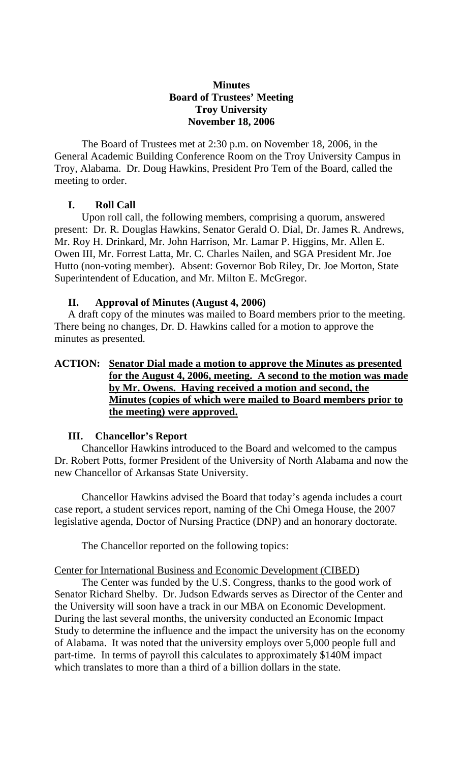### **Minutes Board of Trustees' Meeting Troy University November 18, 2006**

The Board of Trustees met at 2:30 p.m. on November 18, 2006, in the General Academic Building Conference Room on the Troy University Campus in Troy, Alabama. Dr. Doug Hawkins, President Pro Tem of the Board, called the meeting to order.

# **I. Roll Call**

Upon roll call, the following members, comprising a quorum, answered present: Dr. R. Douglas Hawkins, Senator Gerald O. Dial, Dr. James R. Andrews, Mr. Roy H. Drinkard, Mr. John Harrison, Mr. Lamar P. Higgins, Mr. Allen E. Owen III, Mr. Forrest Latta, Mr. C. Charles Nailen, and SGA President Mr. Joe Hutto (non-voting member). Absent: Governor Bob Riley, Dr. Joe Morton, State Superintendent of Education, and Mr. Milton E. McGregor.

# **II. Approval of Minutes (August 4, 2006)**

A draft copy of the minutes was mailed to Board members prior to the meeting. There being no changes, Dr. D. Hawkins called for a motion to approve the minutes as presented.

# **ACTION: Senator Dial made a motion to approve the Minutes as presented for the August 4, 2006, meeting. A second to the motion was made by Mr. Owens. Having received a motion and second, the Minutes (copies of which were mailed to Board members prior to the meeting) were approved.**

### **III. Chancellor's Report**

Chancellor Hawkins introduced to the Board and welcomed to the campus Dr. Robert Potts, former President of the University of North Alabama and now the new Chancellor of Arkansas State University.

 Chancellor Hawkins advised the Board that today's agenda includes a court case report, a student services report, naming of the Chi Omega House, the 2007 legislative agenda, Doctor of Nursing Practice (DNP) and an honorary doctorate.

The Chancellor reported on the following topics:

### Center for International Business and Economic Development (CIBED)

 The Center was funded by the U.S. Congress, thanks to the good work of Senator Richard Shelby. Dr. Judson Edwards serves as Director of the Center and the University will soon have a track in our MBA on Economic Development. During the last several months, the university conducted an Economic Impact Study to determine the influence and the impact the university has on the economy of Alabama. It was noted that the university employs over 5,000 people full and part-time. In terms of payroll this calculates to approximately \$140M impact which translates to more than a third of a billion dollars in the state.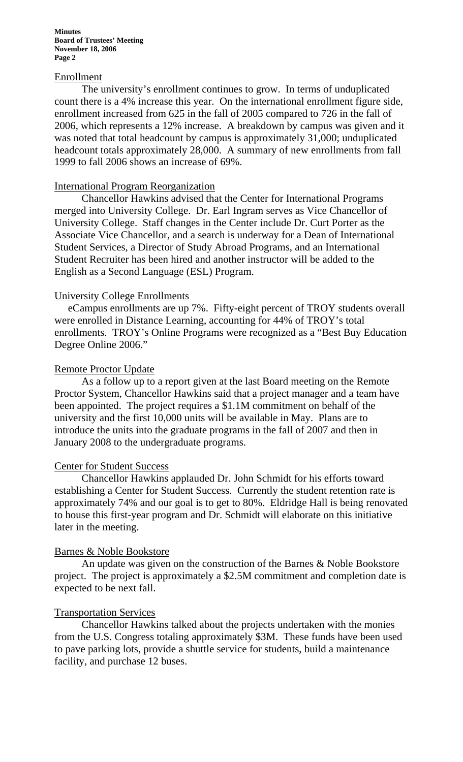#### Enrollment

 The university's enrollment continues to grow. In terms of unduplicated count there is a 4% increase this year. On the international enrollment figure side, enrollment increased from 625 in the fall of 2005 compared to 726 in the fall of 2006, which represents a 12% increase. A breakdown by campus was given and it was noted that total headcount by campus is approximately 31,000; unduplicated headcount totals approximately 28,000. A summary of new enrollments from fall 1999 to fall 2006 shows an increase of 69%.

#### International Program Reorganization

 Chancellor Hawkins advised that the Center for International Programs merged into University College. Dr. Earl Ingram serves as Vice Chancellor of University College. Staff changes in the Center include Dr. Curt Porter as the Associate Vice Chancellor, and a search is underway for a Dean of International Student Services, a Director of Study Abroad Programs, and an International Student Recruiter has been hired and another instructor will be added to the English as a Second Language (ESL) Program.

#### University College Enrollments

eCampus enrollments are up 7%. Fifty-eight percent of TROY students overall were enrolled in Distance Learning, accounting for 44% of TROY's total enrollments. TROY's Online Programs were recognized as a "Best Buy Education Degree Online 2006."

#### Remote Proctor Update

 As a follow up to a report given at the last Board meeting on the Remote Proctor System, Chancellor Hawkins said that a project manager and a team have been appointed. The project requires a \$1.1M commitment on behalf of the university and the first 10,000 units will be available in May. Plans are to introduce the units into the graduate programs in the fall of 2007 and then in January 2008 to the undergraduate programs.

#### Center for Student Success

 Chancellor Hawkins applauded Dr. John Schmidt for his efforts toward establishing a Center for Student Success. Currently the student retention rate is approximately 74% and our goal is to get to 80%. Eldridge Hall is being renovated to house this first-year program and Dr. Schmidt will elaborate on this initiative later in the meeting.

#### Barnes & Noble Bookstore

 An update was given on the construction of the Barnes & Noble Bookstore project. The project is approximately a \$2.5M commitment and completion date is expected to be next fall.

#### Transportation Services

 Chancellor Hawkins talked about the projects undertaken with the monies from the U.S. Congress totaling approximately \$3M. These funds have been used to pave parking lots, provide a shuttle service for students, build a maintenance facility, and purchase 12 buses.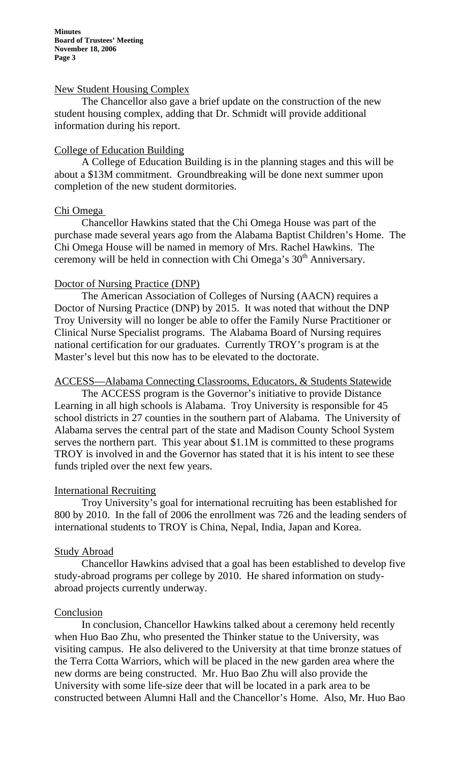#### New Student Housing Complex

 The Chancellor also gave a brief update on the construction of the new student housing complex, adding that Dr. Schmidt will provide additional information during his report.

#### College of Education Building

 A College of Education Building is in the planning stages and this will be about a \$13M commitment. Groundbreaking will be done next summer upon completion of the new student dormitories.

#### Chi Omega

 Chancellor Hawkins stated that the Chi Omega House was part of the purchase made several years ago from the Alabama Baptist Children's Home. The Chi Omega House will be named in memory of Mrs. Rachel Hawkins. The ceremony will be held in connection with Chi Omega's  $30<sup>th</sup>$  Anniversary.

#### Doctor of Nursing Practice (DNP)

 The American Association of Colleges of Nursing (AACN) requires a Doctor of Nursing Practice (DNP) by 2015. It was noted that without the DNP Troy University will no longer be able to offer the Family Nurse Practitioner or Clinical Nurse Specialist programs. The Alabama Board of Nursing requires national certification for our graduates. Currently TROY's program is at the Master's level but this now has to be elevated to the doctorate.

#### ACCESS—Alabama Connecting Classrooms, Educators, & Students Statewide

 The ACCESS program is the Governor's initiative to provide Distance Learning in all high schools is Alabama. Troy University is responsible for 45 school districts in 27 counties in the southern part of Alabama. The University of Alabama serves the central part of the state and Madison County School System serves the northern part. This year about \$1.1M is committed to these programs TROY is involved in and the Governor has stated that it is his intent to see these funds tripled over the next few years.

#### International Recruiting

 Troy University's goal for international recruiting has been established for 800 by 2010. In the fall of 2006 the enrollment was 726 and the leading senders of international students to TROY is China, Nepal, India, Japan and Korea.

#### Study Abroad

 Chancellor Hawkins advised that a goal has been established to develop five study-abroad programs per college by 2010. He shared information on studyabroad projects currently underway.

#### Conclusion

 In conclusion, Chancellor Hawkins talked about a ceremony held recently when Huo Bao Zhu, who presented the Thinker statue to the University, was visiting campus. He also delivered to the University at that time bronze statues of the Terra Cotta Warriors, which will be placed in the new garden area where the new dorms are being constructed. Mr. Huo Bao Zhu will also provide the University with some life-size deer that will be located in a park area to be constructed between Alumni Hall and the Chancellor's Home. Also, Mr. Huo Bao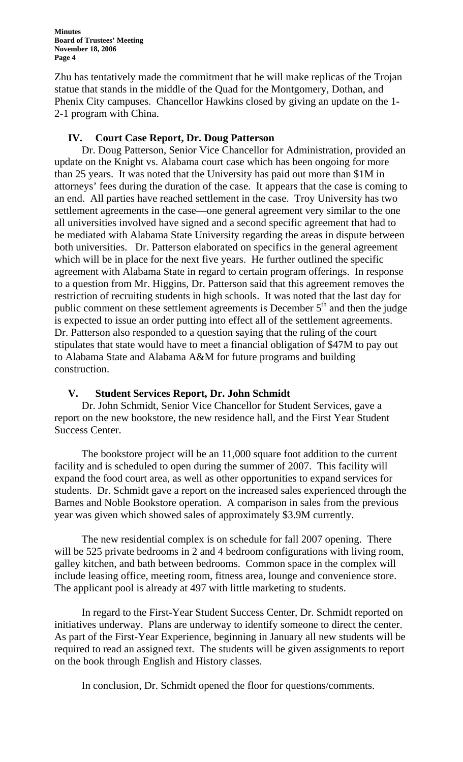Zhu has tentatively made the commitment that he will make replicas of the Trojan statue that stands in the middle of the Quad for the Montgomery, Dothan, and Phenix City campuses. Chancellor Hawkins closed by giving an update on the 1- 2-1 program with China.

### **IV. Court Case Report, Dr. Doug Patterson**

Dr. Doug Patterson, Senior Vice Chancellor for Administration, provided an update on the Knight vs. Alabama court case which has been ongoing for more than 25 years. It was noted that the University has paid out more than \$1M in attorneys' fees during the duration of the case. It appears that the case is coming to an end. All parties have reached settlement in the case. Troy University has two settlement agreements in the case—one general agreement very similar to the one all universities involved have signed and a second specific agreement that had to be mediated with Alabama State University regarding the areas in dispute between both universities. Dr. Patterson elaborated on specifics in the general agreement which will be in place for the next five years. He further outlined the specific agreement with Alabama State in regard to certain program offerings. In response to a question from Mr. Higgins, Dr. Patterson said that this agreement removes the restriction of recruiting students in high schools. It was noted that the last day for public comment on these settlement agreements is December  $5<sup>th</sup>$  and then the judge is expected to issue an order putting into effect all of the settlement agreements. Dr. Patterson also responded to a question saying that the ruling of the court stipulates that state would have to meet a financial obligation of \$47M to pay out to Alabama State and Alabama A&M for future programs and building construction.

### **V. Student Services Report, Dr. John Schmidt**

Dr. John Schmidt, Senior Vice Chancellor for Student Services, gave a report on the new bookstore, the new residence hall, and the First Year Student Success Center.

 The bookstore project will be an 11,000 square foot addition to the current facility and is scheduled to open during the summer of 2007. This facility will expand the food court area, as well as other opportunities to expand services for students. Dr. Schmidt gave a report on the increased sales experienced through the Barnes and Noble Bookstore operation. A comparison in sales from the previous year was given which showed sales of approximately \$3.9M currently.

 The new residential complex is on schedule for fall 2007 opening. There will be 525 private bedrooms in 2 and 4 bedroom configurations with living room, galley kitchen, and bath between bedrooms. Common space in the complex will include leasing office, meeting room, fitness area, lounge and convenience store. The applicant pool is already at 497 with little marketing to students.

 In regard to the First-Year Student Success Center, Dr. Schmidt reported on initiatives underway. Plans are underway to identify someone to direct the center. As part of the First-Year Experience, beginning in January all new students will be required to read an assigned text. The students will be given assignments to report on the book through English and History classes.

In conclusion, Dr. Schmidt opened the floor for questions/comments.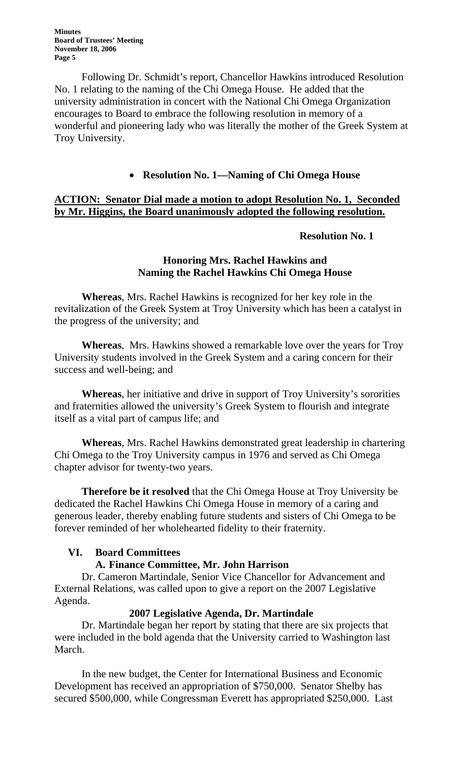Following Dr. Schmidt's report, Chancellor Hawkins introduced Resolution No. 1 relating to the naming of the Chi Omega House. He added that the university administration in concert with the National Chi Omega Organization encourages to Board to embrace the following resolution in memory of a wonderful and pioneering lady who was literally the mother of the Greek System at Troy University.

## • **Resolution No. 1—Naming of Chi Omega House**

# **ACTION: Senator Dial made a motion to adopt Resolution No. 1, Seconded by Mr. Higgins, the Board unanimously adopted the following resolution.**

#### **Resolution No. 1**

### **Honoring Mrs. Rachel Hawkins and Naming the Rachel Hawkins Chi Omega House**

**Whereas**, Mrs. Rachel Hawkins is recognized for her key role in the revitalization of the Greek System at Troy University which has been a catalyst in the progress of the university; and

**Whereas**, Mrs. Hawkins showed a remarkable love over the years for Troy University students involved in the Greek System and a caring concern for their success and well-being; and

**Whereas**, her initiative and drive in support of Troy University's sororities and fraternities allowed the university's Greek System to flourish and integrate itself as a vital part of campus life; and

**Whereas**, Mrs. Rachel Hawkins demonstrated great leadership in chartering Chi Omega to the Troy University campus in 1976 and served as Chi Omega chapter advisor for twenty-two years.

**Therefore be it resolved** that the Chi Omega House at Troy University be dedicated the Rachel Hawkins Chi Omega House in memory of a caring and generous leader, thereby enabling future students and sisters of Chi Omega to be forever reminded of her wholehearted fidelity to their fraternity.

### **VI. Board Committees**

# **A. Finance Committee, Mr. John Harrison**

Dr. Cameron Martindale, Senior Vice Chancellor for Advancement and External Relations, was called upon to give a report on the 2007 Legislative Agenda.

### **2007 Legislative Agenda, Dr. Martindale**

Dr. Martindale began her report by stating that there are six projects that were included in the bold agenda that the University carried to Washington last March.

In the new budget, the Center for International Business and Economic Development has received an appropriation of \$750,000. Senator Shelby has secured \$500,000, while Congressman Everett has appropriated \$250,000. Last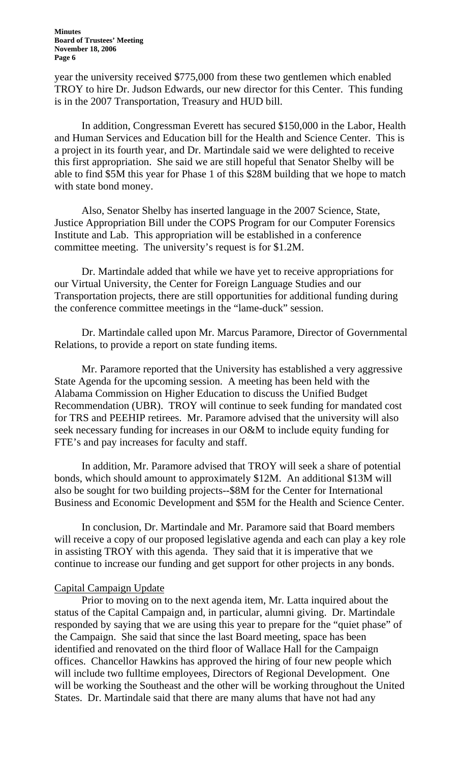year the university received \$775,000 from these two gentlemen which enabled TROY to hire Dr. Judson Edwards, our new director for this Center. This funding is in the 2007 Transportation, Treasury and HUD bill.

 In addition, Congressman Everett has secured \$150,000 in the Labor, Health and Human Services and Education bill for the Health and Science Center. This is a project in its fourth year, and Dr. Martindale said we were delighted to receive this first appropriation. She said we are still hopeful that Senator Shelby will be able to find \$5M this year for Phase 1 of this \$28M building that we hope to match with state bond money.

Also, Senator Shelby has inserted language in the 2007 Science, State, Justice Appropriation Bill under the COPS Program for our Computer Forensics Institute and Lab. This appropriation will be established in a conference committee meeting. The university's request is for \$1.2M.

 Dr. Martindale added that while we have yet to receive appropriations for our Virtual University, the Center for Foreign Language Studies and our Transportation projects, there are still opportunities for additional funding during the conference committee meetings in the "lame-duck" session.

 Dr. Martindale called upon Mr. Marcus Paramore, Director of Governmental Relations, to provide a report on state funding items.

Mr. Paramore reported that the University has established a very aggressive State Agenda for the upcoming session. A meeting has been held with the Alabama Commission on Higher Education to discuss the Unified Budget Recommendation (UBR). TROY will continue to seek funding for mandated cost for TRS and PEEHIP retirees. Mr. Paramore advised that the university will also seek necessary funding for increases in our O&M to include equity funding for FTE's and pay increases for faculty and staff.

 In addition, Mr. Paramore advised that TROY will seek a share of potential bonds, which should amount to approximately \$12M. An additional \$13M will also be sought for two building projects--\$8M for the Center for International Business and Economic Development and \$5M for the Health and Science Center.

 In conclusion, Dr. Martindale and Mr. Paramore said that Board members will receive a copy of our proposed legislative agenda and each can play a key role in assisting TROY with this agenda. They said that it is imperative that we continue to increase our funding and get support for other projects in any bonds.

#### Capital Campaign Update

 Prior to moving on to the next agenda item, Mr. Latta inquired about the status of the Capital Campaign and, in particular, alumni giving. Dr. Martindale responded by saying that we are using this year to prepare for the "quiet phase" of the Campaign. She said that since the last Board meeting, space has been identified and renovated on the third floor of Wallace Hall for the Campaign offices. Chancellor Hawkins has approved the hiring of four new people which will include two fulltime employees, Directors of Regional Development. One will be working the Southeast and the other will be working throughout the United States. Dr. Martindale said that there are many alums that have not had any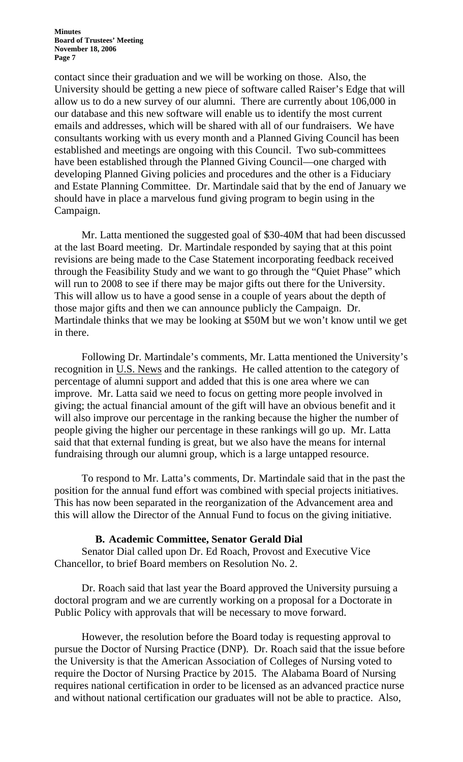contact since their graduation and we will be working on those. Also, the University should be getting a new piece of software called Raiser's Edge that will allow us to do a new survey of our alumni. There are currently about 106,000 in our database and this new software will enable us to identify the most current emails and addresses, which will be shared with all of our fundraisers. We have consultants working with us every month and a Planned Giving Council has been established and meetings are ongoing with this Council. Two sub-committees have been established through the Planned Giving Council—one charged with developing Planned Giving policies and procedures and the other is a Fiduciary and Estate Planning Committee. Dr. Martindale said that by the end of January we should have in place a marvelous fund giving program to begin using in the Campaign.

 Mr. Latta mentioned the suggested goal of \$30-40M that had been discussed at the last Board meeting. Dr. Martindale responded by saying that at this point revisions are being made to the Case Statement incorporating feedback received through the Feasibility Study and we want to go through the "Quiet Phase" which will run to 2008 to see if there may be major gifts out there for the University. This will allow us to have a good sense in a couple of years about the depth of those major gifts and then we can announce publicly the Campaign. Dr. Martindale thinks that we may be looking at \$50M but we won't know until we get in there.

 Following Dr. Martindale's comments, Mr. Latta mentioned the University's recognition in U.S. News and the rankings. He called attention to the category of percentage of alumni support and added that this is one area where we can improve. Mr. Latta said we need to focus on getting more people involved in giving; the actual financial amount of the gift will have an obvious benefit and it will also improve our percentage in the ranking because the higher the number of people giving the higher our percentage in these rankings will go up. Mr. Latta said that that external funding is great, but we also have the means for internal fundraising through our alumni group, which is a large untapped resource.

 To respond to Mr. Latta's comments, Dr. Martindale said that in the past the position for the annual fund effort was combined with special projects initiatives. This has now been separated in the reorganization of the Advancement area and this will allow the Director of the Annual Fund to focus on the giving initiative.

#### **B. Academic Committee, Senator Gerald Dial**

Senator Dial called upon Dr. Ed Roach, Provost and Executive Vice Chancellor, to brief Board members on Resolution No. 2.

Dr. Roach said that last year the Board approved the University pursuing a doctoral program and we are currently working on a proposal for a Doctorate in Public Policy with approvals that will be necessary to move forward.

However, the resolution before the Board today is requesting approval to pursue the Doctor of Nursing Practice (DNP). Dr. Roach said that the issue before the University is that the American Association of Colleges of Nursing voted to require the Doctor of Nursing Practice by 2015. The Alabama Board of Nursing requires national certification in order to be licensed as an advanced practice nurse and without national certification our graduates will not be able to practice. Also,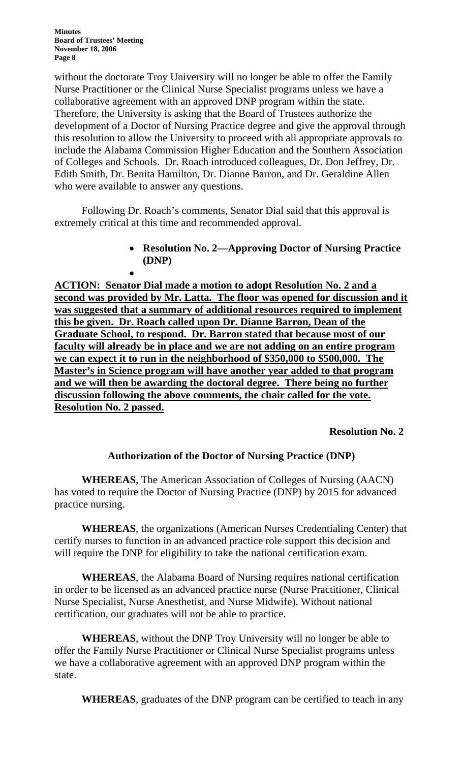•

without the doctorate Troy University will no longer be able to offer the Family Nurse Practitioner or the Clinical Nurse Specialist programs unless we have a collaborative agreement with an approved DNP program within the state. Therefore, the University is asking that the Board of Trustees authorize the development of a Doctor of Nursing Practice degree and give the approval through this resolution to allow the University to proceed with all appropriate approvals to include the Alabama Commission Higher Education and the Southern Association of Colleges and Schools. Dr. Roach introduced colleagues, Dr. Don Jeffrey, Dr. Edith Smith, Dr. Benita Hamilton, Dr. Dianne Barron, and Dr. Geraldine Allen who were available to answer any questions.

 Following Dr. Roach's comments, Senator Dial said that this approval is extremely critical at this time and recommended approval.

> • **Resolution No. 2—Approving Doctor of Nursing Practice (DNP)**

**ACTION: Senator Dial made a motion to adopt Resolution No. 2 and a second was provided by Mr. Latta. The floor was opened for discussion and it was suggested that a summary of additional resources required to implement this be given. Dr. Roach called upon Dr. Dianne Barron, Dean of the Graduate School, to respond. Dr. Barron stated that because most of our faculty will already be in place and we are not adding on an entire program we can expect it to run in the neighborhood of \$350,000 to \$500,000. The Master's in Science program will have another year added to that program and we will then be awarding the doctoral degree. There being no further discussion following the above comments, the chair called for the vote. Resolution No. 2 passed.**

### **Resolution No. 2**

# **Authorization of the Doctor of Nursing Practice (DNP)**

**WHEREAS**, The American Association of Colleges of Nursing (AACN) has voted to require the Doctor of Nursing Practice (DNP) by 2015 for advanced practice nursing.

**WHEREAS**, the organizations (American Nurses Credentialing Center) that certify nurses to function in an advanced practice role support this decision and will require the DNP for eligibility to take the national certification exam.

**WHEREAS**, the Alabama Board of Nursing requires national certification in order to be licensed as an advanced practice nurse (Nurse Practitioner, Clinical Nurse Specialist, Nurse Anesthetist, and Nurse Midwife). Without national certification, our graduates will not be able to practice.

**WHEREAS**, without the DNP Troy University will no longer be able to offer the Family Nurse Practitioner or Clinical Nurse Specialist programs unless we have a collaborative agreement with an approved DNP program within the state.

**WHEREAS**, graduates of the DNP program can be certified to teach in any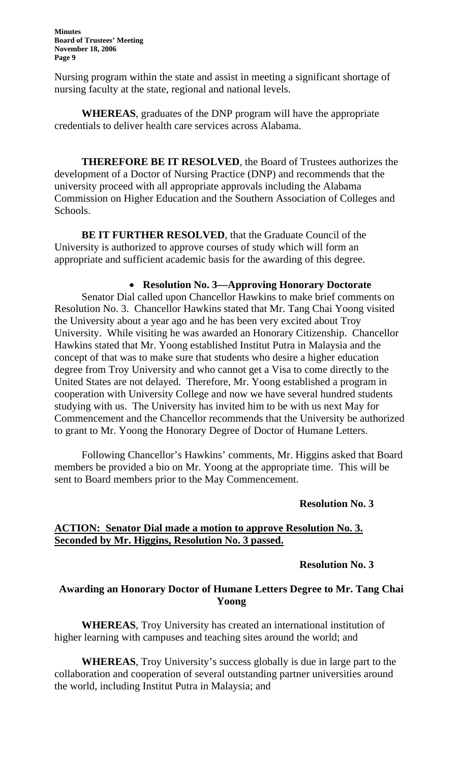Nursing program within the state and assist in meeting a significant shortage of nursing faculty at the state, regional and national levels.

**WHEREAS**, graduates of the DNP program will have the appropriate credentials to deliver health care services across Alabama.

**THEREFORE BE IT RESOLVED**, the Board of Trustees authorizes the development of a Doctor of Nursing Practice (DNP) and recommends that the university proceed with all appropriate approvals including the Alabama Commission on Higher Education and the Southern Association of Colleges and Schools.

**BE IT FURTHER RESOLVED**, that the Graduate Council of the University is authorized to approve courses of study which will form an appropriate and sufficient academic basis for the awarding of this degree.

# • **Resolution No. 3—Approving Honorary Doctorate**

Senator Dial called upon Chancellor Hawkins to make brief comments on Resolution No. 3. Chancellor Hawkins stated that Mr. Tang Chai Yoong visited the University about a year ago and he has been very excited about Troy University. While visiting he was awarded an Honorary Citizenship. Chancellor Hawkins stated that Mr. Yoong established Institut Putra in Malaysia and the concept of that was to make sure that students who desire a higher education degree from Troy University and who cannot get a Visa to come directly to the United States are not delayed. Therefore, Mr. Yoong established a program in cooperation with University College and now we have several hundred students studying with us. The University has invited him to be with us next May for Commencement and the Chancellor recommends that the University be authorized to grant to Mr. Yoong the Honorary Degree of Doctor of Humane Letters.

 Following Chancellor's Hawkins' comments, Mr. Higgins asked that Board members be provided a bio on Mr. Yoong at the appropriate time. This will be sent to Board members prior to the May Commencement.

#### **Resolution No. 3**

#### **ACTION: Senator Dial made a motion to approve Resolution No. 3. Seconded by Mr. Higgins, Resolution No. 3 passed.**

#### **Resolution No. 3**

### **Awarding an Honorary Doctor of Humane Letters Degree to Mr. Tang Chai Yoong**

**WHEREAS**, Troy University has created an international institution of higher learning with campuses and teaching sites around the world; and

**WHEREAS**, Troy University's success globally is due in large part to the collaboration and cooperation of several outstanding partner universities around the world, including Institut Putra in Malaysia; and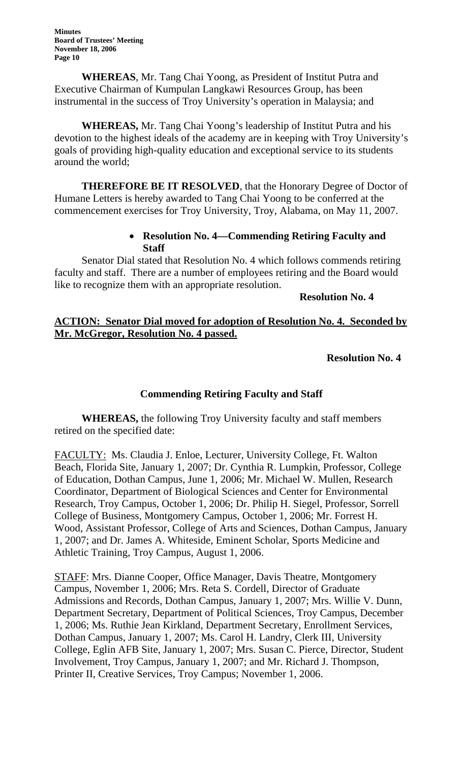**WHEREAS**, Mr. Tang Chai Yoong, as President of Institut Putra and Executive Chairman of Kumpulan Langkawi Resources Group, has been instrumental in the success of Troy University's operation in Malaysia; and

**WHEREAS,** Mr. Tang Chai Yoong's leadership of Institut Putra and his devotion to the highest ideals of the academy are in keeping with Troy University's goals of providing high-quality education and exceptional service to its students around the world;

**THEREFORE BE IT RESOLVED**, that the Honorary Degree of Doctor of Humane Letters is hereby awarded to Tang Chai Yoong to be conferred at the commencement exercises for Troy University, Troy, Alabama, on May 11, 2007.

## • **Resolution No. 4—Commending Retiring Faculty and Staff**

Senator Dial stated that Resolution No. 4 which follows commends retiring faculty and staff. There are a number of employees retiring and the Board would like to recognize them with an appropriate resolution.

**Resolution No. 4** 

## **ACTION: Senator Dial moved for adoption of Resolution No. 4. Seconded by Mr. McGregor, Resolution No. 4 passed.**

# **Resolution No. 4**

### **Commending Retiring Faculty and Staff**

**WHEREAS,** the following Troy University faculty and staff members retired on the specified date:

FACULTY: Ms. Claudia J. Enloe, Lecturer, University College, Ft. Walton Beach, Florida Site, January 1, 2007; Dr. Cynthia R. Lumpkin, Professor, College of Education, Dothan Campus, June 1, 2006; Mr. Michael W. Mullen, Research Coordinator, Department of Biological Sciences and Center for Environmental Research, Troy Campus, October 1, 2006; Dr. Philip H. Siegel, Professor, Sorrell College of Business, Montgomery Campus, October 1, 2006; Mr. Forrest H. Wood, Assistant Professor, College of Arts and Sciences, Dothan Campus, January 1, 2007; and Dr. James A. Whiteside, Eminent Scholar, Sports Medicine and Athletic Training, Troy Campus, August 1, 2006.

STAFF: Mrs. Dianne Cooper, Office Manager, Davis Theatre, Montgomery Campus, November 1, 2006; Mrs. Reta S. Cordell, Director of Graduate Admissions and Records, Dothan Campus, January 1, 2007; Mrs. Willie V. Dunn, Department Secretary, Department of Political Sciences, Troy Campus, December 1, 2006; Ms. Ruthie Jean Kirkland, Department Secretary, Enrollment Services, Dothan Campus, January 1, 2007; Ms. Carol H. Landry, Clerk III, University College, Eglin AFB Site, January 1, 2007; Mrs. Susan C. Pierce, Director, Student Involvement, Troy Campus, January 1, 2007; and Mr. Richard J. Thompson, Printer II, Creative Services, Troy Campus; November 1, 2006.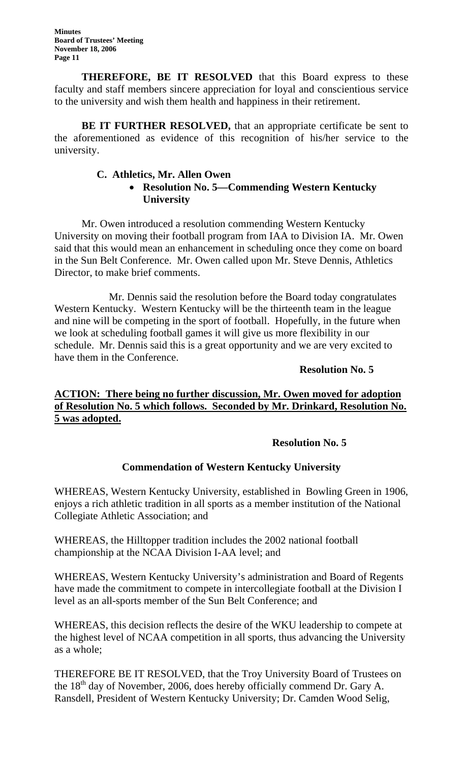**THEREFORE, BE IT RESOLVED** that this Board express to these faculty and staff members sincere appreciation for loyal and conscientious service to the university and wish them health and happiness in their retirement.

**BE IT FURTHER RESOLVED,** that an appropriate certificate be sent to the aforementioned as evidence of this recognition of his/her service to the university.

### **C. Athletics, Mr. Allen Owen**  • **Resolution No. 5—Commending Western Kentucky University**

Mr. Owen introduced a resolution commending Western Kentucky University on moving their football program from IAA to Division IA. Mr. Owen said that this would mean an enhancement in scheduling once they come on board in the Sun Belt Conference. Mr. Owen called upon Mr. Steve Dennis, Athletics Director, to make brief comments.

 Mr. Dennis said the resolution before the Board today congratulates Western Kentucky. Western Kentucky will be the thirteenth team in the league and nine will be competing in the sport of football. Hopefully, in the future when we look at scheduling football games it will give us more flexibility in our schedule. Mr. Dennis said this is a great opportunity and we are very excited to have them in the Conference.

**Resolution No. 5**

## **ACTION: There being no further discussion, Mr. Owen moved for adoption of Resolution No. 5 which follows. Seconded by Mr. Drinkard, Resolution No. 5 was adopted.**

# **Resolution No. 5**

### **Commendation of Western Kentucky University**

WHEREAS, Western Kentucky University, established in Bowling Green in 1906, enjoys a rich athletic tradition in all sports as a member institution of the National Collegiate Athletic Association; and

WHEREAS, the Hilltopper tradition includes the 2002 national football championship at the NCAA Division I-AA level; and

WHEREAS, Western Kentucky University's administration and Board of Regents have made the commitment to compete in intercollegiate football at the Division I level as an all-sports member of the Sun Belt Conference; and

WHEREAS, this decision reflects the desire of the WKU leadership to compete at the highest level of NCAA competition in all sports, thus advancing the University as a whole;

THEREFORE BE IT RESOLVED, that the Troy University Board of Trustees on the 18<sup>th</sup> day of November, 2006, does hereby officially commend Dr. Gary A. Ransdell, President of Western Kentucky University; Dr. Camden Wood Selig,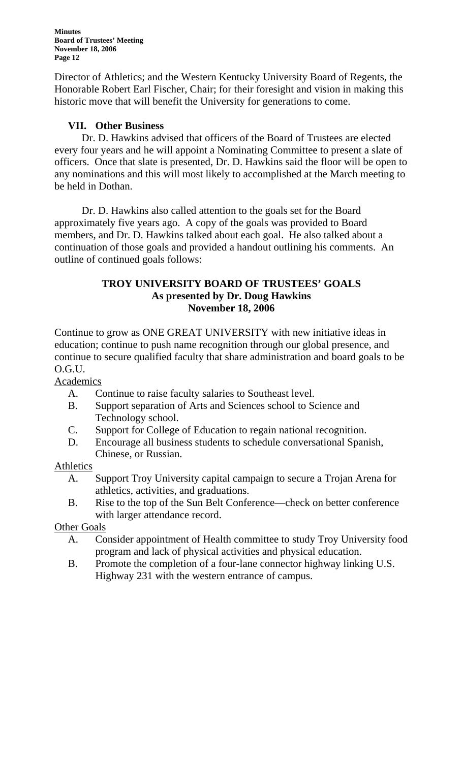Director of Athletics; and the Western Kentucky University Board of Regents, the Honorable Robert Earl Fischer, Chair; for their foresight and vision in making this historic move that will benefit the University for generations to come.

### **VII. Other Business**

Dr. D. Hawkins advised that officers of the Board of Trustees are elected every four years and he will appoint a Nominating Committee to present a slate of officers. Once that slate is presented, Dr. D. Hawkins said the floor will be open to any nominations and this will most likely to accomplished at the March meeting to be held in Dothan.

 Dr. D. Hawkins also called attention to the goals set for the Board approximately five years ago. A copy of the goals was provided to Board members, and Dr. D. Hawkins talked about each goal. He also talked about a continuation of those goals and provided a handout outlining his comments. An outline of continued goals follows:

### **TROY UNIVERSITY BOARD OF TRUSTEES' GOALS As presented by Dr. Doug Hawkins November 18, 2006**

Continue to grow as ONE GREAT UNIVERSITY with new initiative ideas in education; continue to push name recognition through our global presence, and continue to secure qualified faculty that share administration and board goals to be O.G.U.

Academics

- A. Continue to raise faculty salaries to Southeast level.
- B. Support separation of Arts and Sciences school to Science and Technology school.
- C. Support for College of Education to regain national recognition.
- D. Encourage all business students to schedule conversational Spanish, Chinese, or Russian.

### **Athletics**

- A. Support Troy University capital campaign to secure a Trojan Arena for athletics, activities, and graduations.
- B. Rise to the top of the Sun Belt Conference—check on better conference with larger attendance record.

### Other Goals

- A. Consider appointment of Health committee to study Troy University food program and lack of physical activities and physical education.
- B. Promote the completion of a four-lane connector highway linking U.S. Highway 231 with the western entrance of campus.